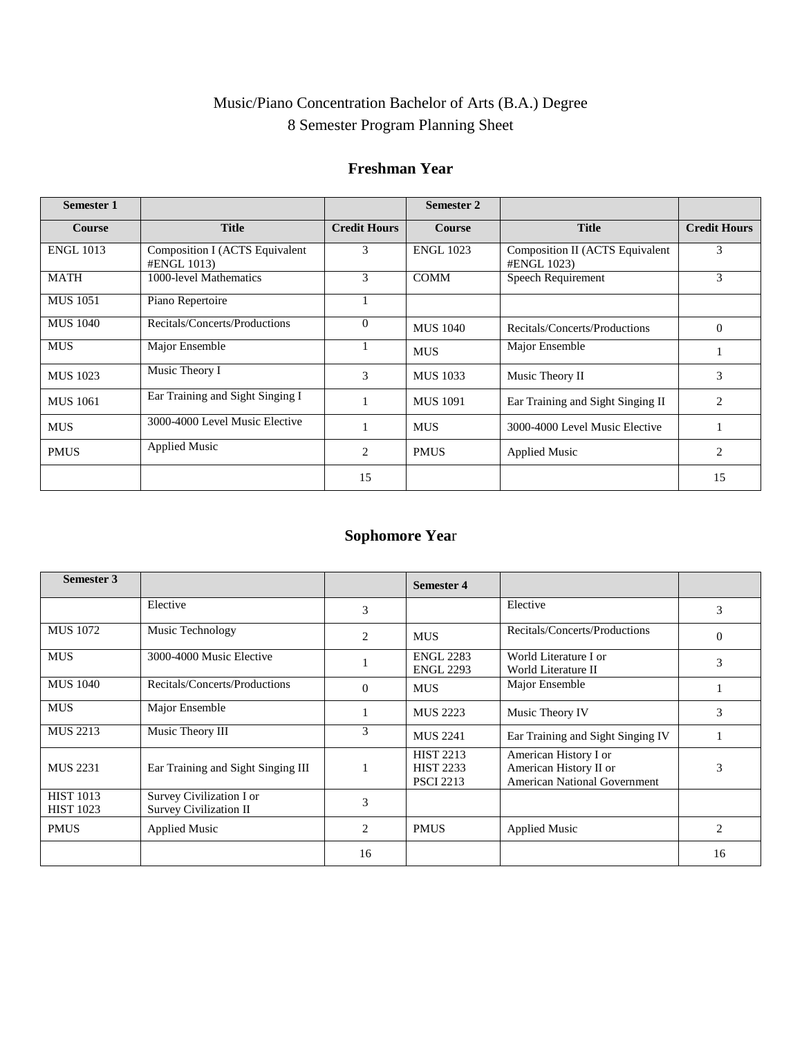# Music/Piano Concentration Bachelor of Arts (B.A.) Degree 8 Semester Program Planning Sheet

### **Freshman Year**

| <b>Semester 1</b> |                                               |                     | Semester 2       |                                                |                     |
|-------------------|-----------------------------------------------|---------------------|------------------|------------------------------------------------|---------------------|
| Course            | <b>Title</b>                                  | <b>Credit Hours</b> | <b>Course</b>    | <b>Title</b>                                   | <b>Credit Hours</b> |
| <b>ENGL 1013</b>  | Composition I (ACTS Equivalent<br>#ENGL 1013) | 3                   | <b>ENGL 1023</b> | Composition II (ACTS Equivalent<br>#ENGL 1023) | 3                   |
| MATH              | 1000-level Mathematics                        | 3                   | <b>COMM</b>      | Speech Requirement                             | 3                   |
| <b>MUS</b> 1051   | Piano Repertoire                              |                     |                  |                                                |                     |
| <b>MUS</b> 1040   | Recitals/Concerts/Productions                 | $\Omega$            | <b>MUS 1040</b>  | Recitals/Concerts/Productions                  | $\theta$            |
| <b>MUS</b>        | Major Ensemble                                |                     | <b>MUS</b>       | Major Ensemble                                 |                     |
| <b>MUS</b> 1023   | Music Theory I                                | 3                   | <b>MUS</b> 1033  | Music Theory II                                | 3                   |
| <b>MUS</b> 1061   | Ear Training and Sight Singing I              |                     | <b>MUS</b> 1091  | Ear Training and Sight Singing II              | 2                   |
| <b>MUS</b>        | 3000-4000 Level Music Elective                |                     | <b>MUS</b>       | 3000-4000 Level Music Elective                 |                     |
| <b>PMUS</b>       | <b>Applied Music</b>                          | 2                   | <b>PMUS</b>      | <b>Applied Music</b>                           | 2                   |
|                   |                                               | 15                  |                  |                                                | 15                  |

# **Sophomore Yea**r

| Semester 3                           |                                                    |                | <b>Semester 4</b>                                        |                                                                                        |          |
|--------------------------------------|----------------------------------------------------|----------------|----------------------------------------------------------|----------------------------------------------------------------------------------------|----------|
|                                      | Elective                                           | 3              |                                                          | Elective                                                                               | 3        |
| <b>MUS</b> 1072                      | Music Technology                                   | $\overline{c}$ | <b>MUS</b>                                               | Recitals/Concerts/Productions                                                          | $\Omega$ |
| <b>MUS</b>                           | 3000-4000 Music Elective                           |                | <b>ENGL 2283</b><br><b>ENGL 2293</b>                     | World Literature I or<br>World Literature II                                           | 3        |
| <b>MUS 1040</b>                      | Recitals/Concerts/Productions                      | $\Omega$       | <b>MUS</b>                                               | Major Ensemble                                                                         |          |
| <b>MUS</b>                           | Major Ensemble                                     |                | <b>MUS 2223</b>                                          | Music Theory IV                                                                        | 3        |
| <b>MUS 2213</b>                      | Music Theory III                                   | 3              | <b>MUS 2241</b>                                          | Ear Training and Sight Singing IV                                                      |          |
| <b>MUS 2231</b>                      | Ear Training and Sight Singing III                 |                | <b>HIST 2213</b><br><b>HIST 2233</b><br><b>PSCI 2213</b> | American History I or<br>American History II or<br><b>American National Government</b> | 3        |
| <b>HIST 1013</b><br><b>HIST 1023</b> | Survey Civilization I or<br>Survey Civilization II | 3              |                                                          |                                                                                        |          |
| <b>PMUS</b>                          | <b>Applied Music</b>                               | 2              | <b>PMUS</b>                                              | <b>Applied Music</b>                                                                   | 2        |
|                                      |                                                    | 16             |                                                          |                                                                                        | 16       |